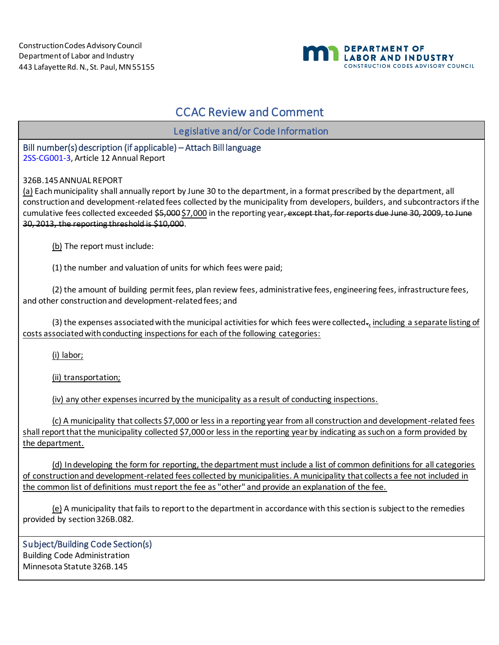

## CCAC Review and Comment

Legislative and/or Code Information

## Bill number(s) description (if applicable) – Attach Bill language

[2SS-CG001-3,](https://drive.google.com/drive/folders/1V8E-qOqEU1NbwRbtuvci-mppuQi_kdAj) Article 12 Annual Report

326B.145 ANNUAL REPORT

(a) Each municipality shall annually report by June 30 to the department, in a format prescribed by the department, all construction and development-related fees collected by the municipality from developers, builders, and subcontractors if the cumulative fees collected exceeded \$5,000 \$7,000 in the reporting year, except that, for reports due June 30, 2009, to June 30, 2013, the reporting threshold is \$10,000.

(b) The report must include:

(1) the number and valuation of units for which fees were paid;

(2) the amount of building permit fees, plan review fees, administrative fees, engineering fees, infrastructure fees, and other construction and development-related fees; and

(3) the expenses associated with the municipal activities for which fees were collected $_{\tau_L}$  including a separate listing of costs associated with conducting inspections for each of the following categories:

(i) labor;

(ii) transportation;

(iv) any other expenses incurred by the municipality as a result of conducting inspections.

(c) A municipality that collects \$7,000 or less in a reporting year from all construction and development-related fees shall report that the municipality collected \$7,000 or less in the reporting year by indicating as such on a form provided by the department.

(d) In developing the form for reporting, the department must include a list of common definitions for all categories of construction and development-related fees collected by municipalities. A municipality that collects a fee not included in the common list of definitions must report the fee as "other" and provide an explanation of the fee.

(e) A municipality that fails to report to the department in accordance with this section is subject to the remedies provided by section 326B.082.

Subject/Building Code Section(s) Building Code Administration Minnesota Statute 326B.145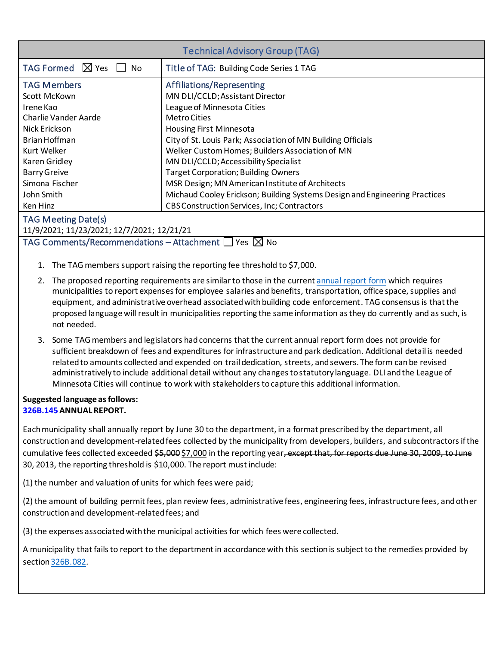| <b>Technical Advisory Group (TAG)</b>                                                                                                                                                                   |                                                                                                                                                                                                                                                                                                                                                                                                                                                                                               |  |
|---------------------------------------------------------------------------------------------------------------------------------------------------------------------------------------------------------|-----------------------------------------------------------------------------------------------------------------------------------------------------------------------------------------------------------------------------------------------------------------------------------------------------------------------------------------------------------------------------------------------------------------------------------------------------------------------------------------------|--|
| TAG Formed $\boxtimes$ Yes<br>∐ No                                                                                                                                                                      | Title of TAG: Building Code Series 1 TAG                                                                                                                                                                                                                                                                                                                                                                                                                                                      |  |
| <b>TAG Members</b><br>Scott McKown<br>Irene Kao<br><b>Charlie Vander Aarde</b><br>Nick Erickson<br>Brian Hoffman<br>Kurt Welker<br>Karen Gridley<br><b>Barry Greive</b><br>Simona Fischer<br>John Smith | Affiliations/Representing<br>MN DLI/CCLD; Assistant Director<br>League of Minnesota Cities<br><b>MetroCities</b><br><b>Housing First Minnesota</b><br>City of St. Louis Park; Association of MN Building Officials<br>Welker Custom Homes; Builders Association of MN<br>MN DLI/CCLD; Accessibility Specialist<br><b>Target Corporation; Building Owners</b><br>MSR Design; MN American Institute of Architects<br>Michaud Cooley Erickson; Building Systems Design and Engineering Practices |  |
| Ken Hinz                                                                                                                                                                                                | <b>CBS Construction Services, Inc; Contractors</b>                                                                                                                                                                                                                                                                                                                                                                                                                                            |  |

## TAG Meeting Date(s)

11/9/2021; 11/23/2021; 12/7/2021; 12/21/21

TAG Comments/Recommendations – Attachment  $\Box$  Yes  $\boxtimes$  No

- 1. The TAG members support raising the reporting fee threshold to \$7,000.
- 2. The proposed reporting requirements are similar to those in the curren[t annual report form](http://www.dli.mn.gov/sites/default/files/pdf/bc_ec016_mcdreport_6_27.pdf) which requires municipalities to report expenses for employee salaries and benefits, transportation, office space, supplies and equipment, and administrative overhead associated with building code enforcement. TAG consensus is that the proposed language will result in municipalities reporting the same information as they do currently and as such, is not needed.
- 3. Some TAG members and legislators had concerns that the current annual report form does not provide for sufficient breakdown of fees and expenditures for infrastructure and park dedication. Additional detail is needed related to amounts collected and expended on traildedication, streets, and sewers. The form can be revised administratively to include additional detail without any changes to statutory language. DLI and the League of Minnesota Cities will continue to work with stakeholders to capture this additional information.

## **Suggested language as follows: [326B.145](https://www.revisor.mn.gov/statutes/cite/326B.145)ANNUAL REPORT.**

Each municipality shall annually report by June 30 to the department, in a format prescribed by the department, all construction and development-related fees collected by the municipality from developers, builders, and subcontractors if the cumulative fees collected exceeded \$5,000 \$7,000 in the reporting year, except that, for reports due June 30, 2009, to June 30, 2013, the reporting threshold is \$10,000. The report must include:

(1) the number and valuation of units for which fees were paid;

(2) the amount of building permit fees, plan review fees, administrative fees, engineering fees, infrastructure fees, and other construction and development-related fees; and

(3) the expenses associated with the municipal activities for which fees were collected.

A municipality that fails to report to the department in accordance with this section is subject to the remedies provided by sectio[n326B.082.](https://www.revisor.mn.gov/statutes/cite/326B.082)